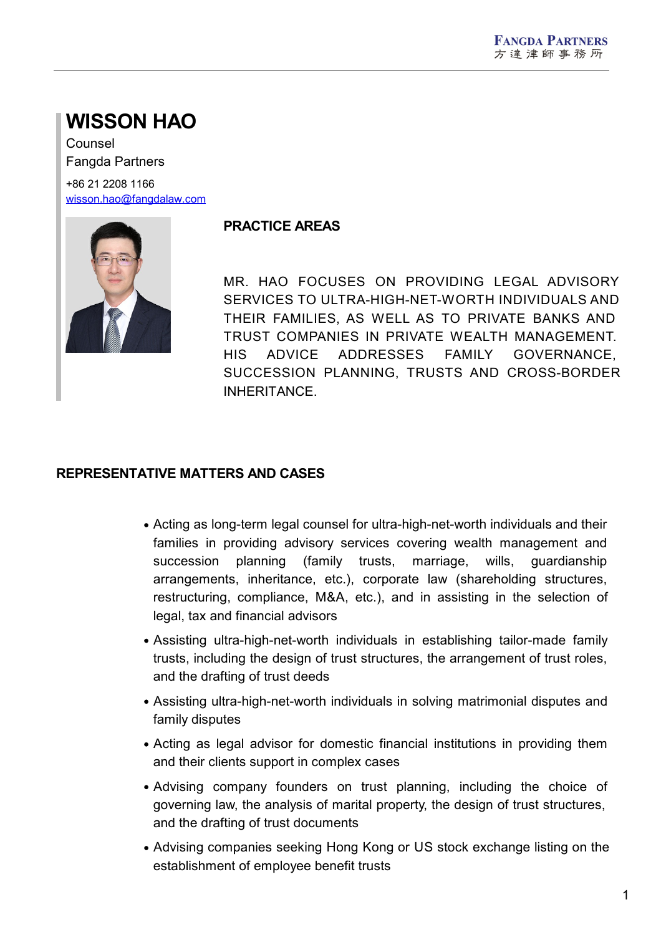# **WISSON HAO**

Counsel Fangda Partners

+86 21 2208 1166 [wisson.hao@fangdalaw.com](mailto:wisson.hao@fangdalaw.com)



## **PRACTICE AREAS**

MR. HAO FOCUSES ON PROVIDING LEGAL ADVISORY SERVICES TO ULTRA-HIGH-NET-WORTH INDIVIDUALS AND THEIR FAMILIES, AS WELL AS TO PRIVATE BANKS AND TRUST COMPANIES IN PRIVATE WEALTH MANAGEMENT. HIS ADVICE ADDRESSES FAMILY GOVERNANCE, SUCCESSION PLANNING, TRUSTS AND CROSS-BORDER INHERITANCE.

# **REPRESENTATIVE MATTERS AND CASES**

- Acting as long-term legal counsel for ultra-high-net-worth individuals and their families in providing advisory services covering wealth management and succession planning (family trusts, marriage, wills, guardianship arrangements, inheritance, etc.), corporate law (shareholding structures, restructuring, compliance, M&A, etc.), and in assisting in the selection of legal, tax and financial advisors
- Assisting ultra-high-net-worth individuals in establishing tailor-made family trusts, including the design of trust structures, the arrangement of trust roles, and the drafting of trust deeds
- Assisting ultra-high-net-worth individuals in solving matrimonial disputes and family disputes
- Acting as legal advisor for domestic financial institutions in providing them and their clients support in complex cases
- Advising company founders on trust planning, including the choice of governing law, the analysis of marital property, the design of trust structures, and the drafting of trust documents
- Advising companies seeking Hong Kong or US stock exchange listing on the establishment of employee benefit trusts